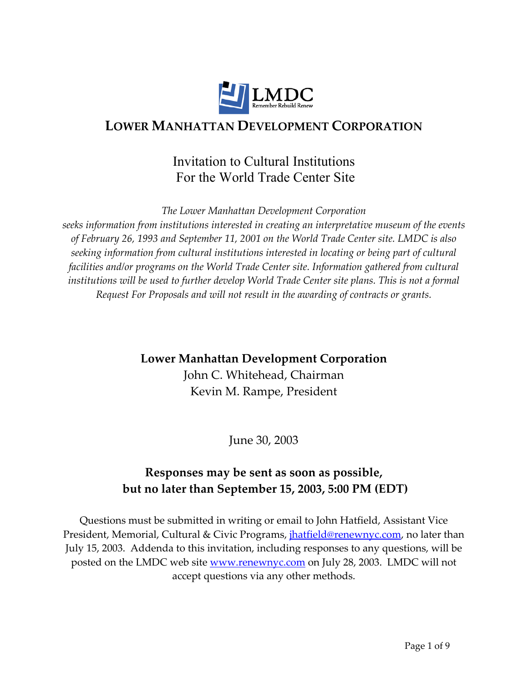

# **LOWER MANHATTAN DEVELOPMENT CORPORATION**

# Invitation to Cultural Institutions For the World Trade Center Site

*The Lower Manhattan Development Corporation* 

*seeks information from institutions interested in creating an interpretative museum of the events of February 26, 1993 and September 11, 2001 on the World Trade Center site. LMDC is also seeking information from cultural institutions interested in locating or being part of cultural facilities and/or programs on the World Trade Center site. Information gathered from cultural*  institutions will be used to further develop World Trade Center site plans. This is not a formal *Request For Proposals and will not result in the awarding of contracts or grants.* 

# **Lower Manhattan Development Corporation**

John C. Whitehead, Chairman Kevin M. Rampe, President

June 30, 2003

# **Responses may be sent as soon as possible, but no later than September 15, 2003, 5:00 PM (EDT)**

Questions must be submitted in writing or email to John Hatfield, Assistant Vice President, Memorial, Cultural & Civic Programs, *jhatfield@renewnyc.com*, no later than July 15, 2003. Addenda to this invitation, including responses to any questions, will be posted on the LMDC web site <u>www.renewnyc.com</u> on July 28, 2003. LMDC will not accept questions via any other methods.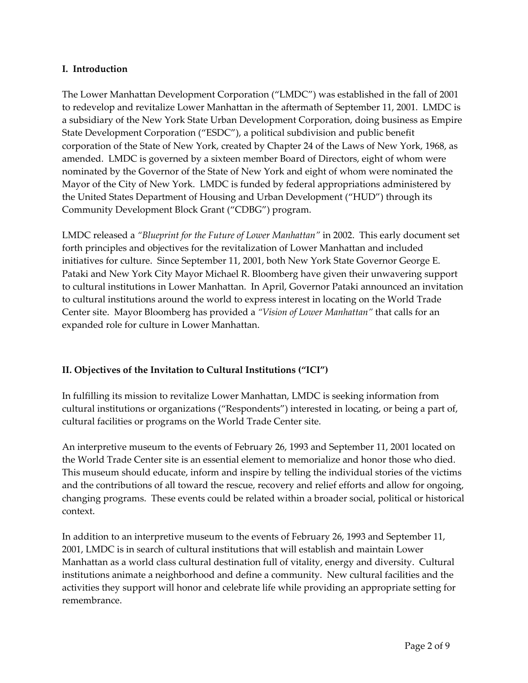### **I. Introduction**

The Lower Manhattan Development Corporation ("LMDC") was established in the fall of 2001 to redevelop and revitalize Lower Manhattan in the aftermath of September 11, 2001. LMDC is a subsidiary of the New York State Urban Development Corporation, doing business as Empire State Development Corporation ("ESDC"), a political subdivision and public benefit corporation of the State of New York, created by Chapter 24 of the Laws of New York, 1968, as amended. LMDC is governed by a sixteen member Board of Directors, eight of whom were nominated by the Governor of the State of New York and eight of whom were nominated the Mayor of the City of New York. LMDC is funded by federal appropriations administered by the United States Department of Housing and Urban Development ("HUD") through its Community Development Block Grant ("CDBG") program.

LMDC released a *"Blueprint for the Future of Lower Manhattan"* in 2002. This early document set forth principles and objectives for the revitalization of Lower Manhattan and included initiatives for culture. Since September 11, 2001, both New York State Governor George E. Pataki and New York City Mayor Michael R. Bloomberg have given their unwavering support to cultural institutions in Lower Manhattan. In April, Governor Pataki announced an invitation to cultural institutions around the world to express interest in locating on the World Trade Center site. Mayor Bloomberg has provided a *"Vision of Lower Manhattan"* that calls for an expanded role for culture in Lower Manhattan.

# **II. Objectives of the Invitation to Cultural Institutions ("ICI")**

In fulfilling its mission to revitalize Lower Manhattan, LMDC is seeking information from cultural institutions or organizations ("Respondents") interested in locating, or being a part of, cultural facilities or programs on the World Trade Center site.

An interpretive museum to the events of February 26, 1993 and September 11, 2001 located on the World Trade Center site is an essential element to memorialize and honor those who died. This museum should educate, inform and inspire by telling the individual stories of the victims and the contributions of all toward the rescue, recovery and relief efforts and allow for ongoing, changing programs. These events could be related within a broader social, political or historical context.

In addition to an interpretive museum to the events of February 26, 1993 and September 11, 2001, LMDC is in search of cultural institutions that will establish and maintain Lower Manhattan as a world class cultural destination full of vitality, energy and diversity. Cultural institutions animate a neighborhood and define a community. New cultural facilities and the activities they support will honor and celebrate life while providing an appropriate setting for remembrance.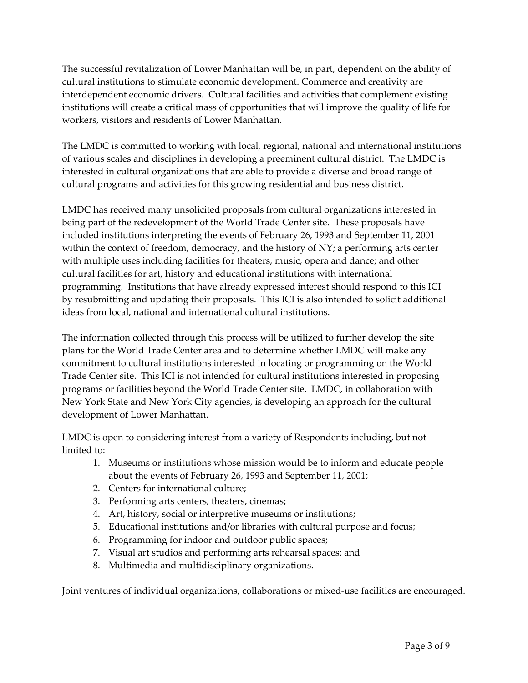The successful revitalization of Lower Manhattan will be, in part, dependent on the ability of cultural institutions to stimulate economic development. Commerce and creativity are interdependent economic drivers. Cultural facilities and activities that complement existing institutions will create a critical mass of opportunities that will improve the quality of life for workers, visitors and residents of Lower Manhattan.

The LMDC is committed to working with local, regional, national and international institutions of various scales and disciplines in developing a preeminent cultural district. The LMDC is interested in cultural organizations that are able to provide a diverse and broad range of cultural programs and activities for this growing residential and business district.

LMDC has received many unsolicited proposals from cultural organizations interested in being part of the redevelopment of the World Trade Center site. These proposals have included institutions interpreting the events of February 26, 1993 and September 11, 2001 within the context of freedom, democracy, and the history of NY; a performing arts center with multiple uses including facilities for theaters, music, opera and dance; and other cultural facilities for art, history and educational institutions with international programming. Institutions that have already expressed interest should respond to this ICI by resubmitting and updating their proposals. This ICI is also intended to solicit additional ideas from local, national and international cultural institutions.

The information collected through this process will be utilized to further develop the site plans for the World Trade Center area and to determine whether LMDC will make any commitment to cultural institutions interested in locating or programming on the World Trade Center site. This ICI is not intended for cultural institutions interested in proposing programs or facilities beyond the World Trade Center site. LMDC, in collaboration with New York State and New York City agencies, is developing an approach for the cultural development of Lower Manhattan.

LMDC is open to considering interest from a variety of Respondents including, but not limited to:

- 1. Museums or institutions whose mission would be to inform and educate people about the events of February 26, 1993 and September 11, 2001;
- 2. Centers for international culture;
- 3. Performing arts centers, theaters, cinemas;
- 4. Art, history, social or interpretive museums or institutions;
- 5. Educational institutions and/or libraries with cultural purpose and focus;
- 6. Programming for indoor and outdoor public spaces;
- 7. Visual art studios and performing arts rehearsal spaces; and
- 8. Multimedia and multidisciplinary organizations.

Joint ventures of individual organizations, collaborations or mixed-use facilities are encouraged.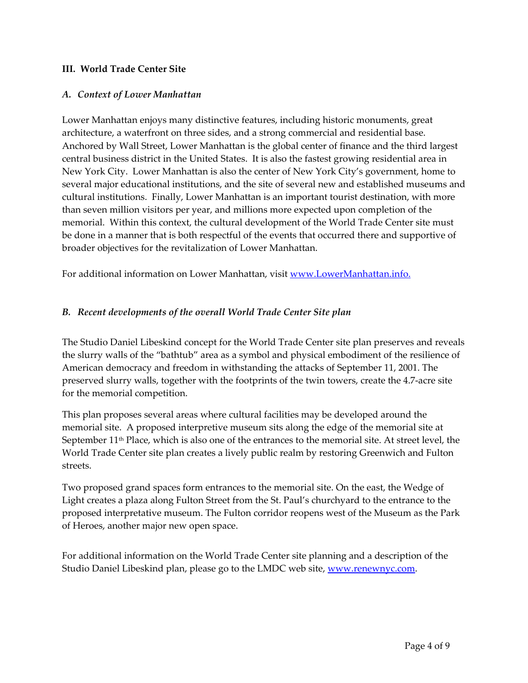### **III. World Trade Center Site**

#### *A. Context of Lower Manhattan*

Lower Manhattan enjoys many distinctive features, including historic monuments, great architecture, a waterfront on three sides, and a strong commercial and residential base. Anchored by Wall Street, Lower Manhattan is the global center of finance and the third largest central business district in the United States. It is also the fastest growing residential area in New York City. Lower Manhattan is also the center of New York City's government, home to several major educational institutions, and the site of several new and established museums and cultural institutions. Finally, Lower Manhattan is an important tourist destination, with more than seven million visitors per year, and millions more expected upon completion of the memorial. Within this context, the cultural development of the World Trade Center site must be done in a manner that is both respectful of the events that occurred there and supportive of broader objectives for the revitalization of Lower Manhattan.

For additional information on Lower Manhattan, visit www.LowerManhattan.info.

### *B. Recent developments of the overall World Trade Center Site plan*

The Studio Daniel Libeskind concept for the World Trade Center site plan preserves and reveals the slurry walls of the "bathtub" area as a symbol and physical embodiment of the resilience of American democracy and freedom in withstanding the attacks of September 11, 2001. The preserved slurry walls, together with the footprints of the twin towers, create the 4.7-acre site for the memorial competition.

This plan proposes several areas where cultural facilities may be developed around the memorial site. A proposed interpretive museum sits along the edge of the memorial site at September 11<sup>th</sup> Place, which is also one of the entrances to the memorial site. At street level, the World Trade Center site plan creates a lively public realm by restoring Greenwich and Fulton streets.

Two proposed grand spaces form entrances to the memorial site. On the east, the Wedge of Light creates a plaza along Fulton Street from the St. Paul's churchyard to the entrance to the proposed interpretative museum. The Fulton corridor reopens west of the Museum as the Park of Heroes, another major new open space.

For additional information on the World Trade Center site planning and a description of the Studio Daniel Libeskind plan, please go to the LMDC web site, www.renewnyc.com.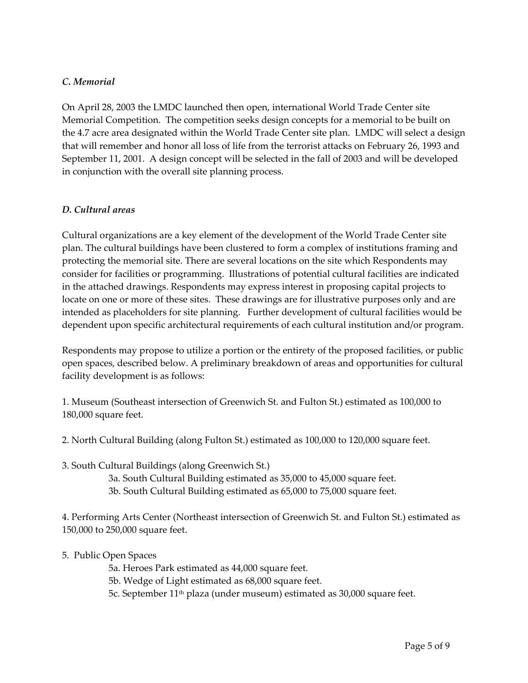### *C. Memorial*

On April 28, 2003 the LMDC launched then open, international World Trade Center site Memorial Competition. The competition seeks design concepts for a memorial to be built on the 4.7 acre area designated within the World Trade Center site plan. LMDC will select a design that will remember and honor all loss of life from the terrorist attacks on February 26, 1993 and September 11, 2001. A design concept will be selected in the fall of 2003 and will be developed in conjunction with the overall site planning process.

#### *D. Cultural areas*

Cultural organizations are a key element of the development of the World Trade Center site plan. The cultural buildings have been clustered to form a complex of institutions framing and protecting the memorial site. There are several locations on the site which Respondents may consider for facilities or programming. Illustrations of potential cultural facilities are indicated in the attached drawings. Respondents may express interest in proposing capital projects to locate on one or more of these sites. These drawings are for illustrative purposes only and are intended as placeholders for site planning. Further development of cultural facilities would be dependent upon specific architectural requirements of each cultural institution and/or program.

Respondents may propose to utilize a portion or the entirety of the proposed facilities, or public open spaces, described below. A preliminary breakdown of areas and opportunities for cultural facility development is as follows:

1. Museum (Southeast intersection of Greenwich St. and Fulton St.) estimated as 100,000 to 180,000 square feet.

- 2. North Cultural Building (along Fulton St.) estimated as 100,000 to 120,000 square feet.
- 3. South Cultural Buildings (along Greenwich St.)
	- 3a. South Cultural Building estimated as 35,000 to 45,000 square feet.
	- 3b. South Cultural Building estimated as 65,000 to 75,000 square feet.

4. Performing Arts Center (Northeast intersection of Greenwich St. and Fulton St.) estimated as 150,000 to 250,000 square feet.

# 5. Public Open Spaces

5a. Heroes Park estimated as 44,000 square feet.

5b. Wedge of Light estimated as 68,000 square feet.

5c. September 11th plaza (under museum) estimated as 30,000 square feet.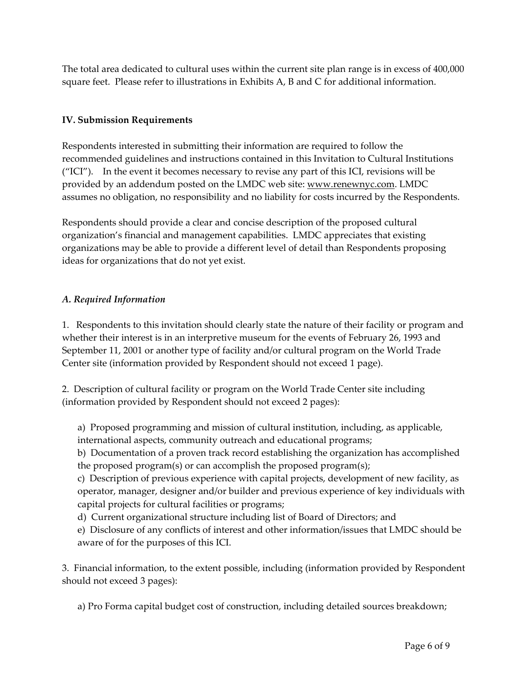The total area dedicated to cultural uses within the current site plan range is in excess of 400,000 square feet. Please refer to illustrations in Exhibits A, B and C for additional information.

# **IV. Submission Requirements**

Respondents interested in submitting their information are required to follow the recommended guidelines and instructions contained in this Invitation to Cultural Institutions ("ICI"). In the event it becomes necessary to revise any part of this ICI, revisions will be provided by an addendum posted on the LMDC web site: www.renewnyc.com. LMDC assumes no obligation, no responsibility and no liability for costs incurred by the Respondents.

Respondents should provide a clear and concise description of the proposed cultural organization's financial and management capabilities. LMDC appreciates that existing organizations may be able to provide a different level of detail than Respondents proposing ideas for organizations that do not yet exist.

# *A. Required Information*

1. Respondents to this invitation should clearly state the nature of their facility or program and whether their interest is in an interpretive museum for the events of February 26, 1993 and September 11, 2001 or another type of facility and/or cultural program on the World Trade Center site (information provided by Respondent should not exceed 1 page).

2. Description of cultural facility or program on the World Trade Center site including (information provided by Respondent should not exceed 2 pages):

a) Proposed programming and mission of cultural institution, including, as applicable, international aspects, community outreach and educational programs;

b) Documentation of a proven track record establishing the organization has accomplished the proposed program(s) or can accomplish the proposed program(s);

c) Description of previous experience with capital projects, development of new facility, as operator, manager, designer and/or builder and previous experience of key individuals with capital projects for cultural facilities or programs;

d) Current organizational structure including list of Board of Directors; and

e) Disclosure of any conflicts of interest and other information/issues that LMDC should be aware of for the purposes of this ICI.

3. Financial information, to the extent possible, including (information provided by Respondent should not exceed 3 pages):

a) Pro Forma capital budget cost of construction, including detailed sources breakdown;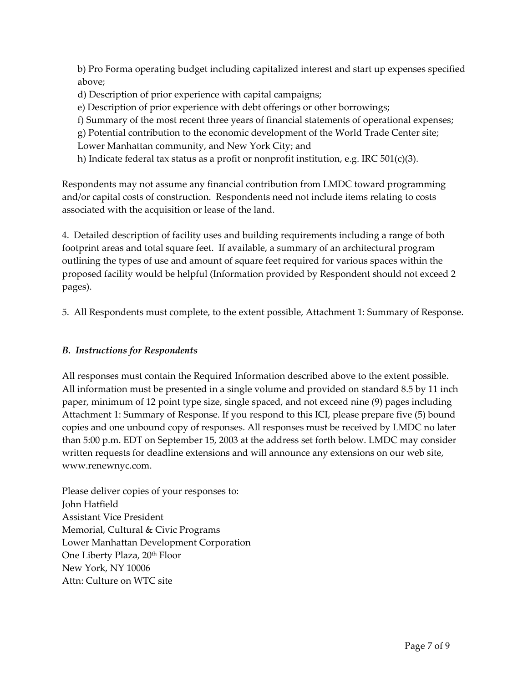b) Pro Forma operating budget including capitalized interest and start up expenses specified above;

d) Description of prior experience with capital campaigns;

e) Description of prior experience with debt offerings or other borrowings;

f) Summary of the most recent three years of financial statements of operational expenses;

g) Potential contribution to the economic development of the World Trade Center site;

Lower Manhattan community, and New York City; and

h) Indicate federal tax status as a profit or nonprofit institution, e.g. IRC  $501(c)(3)$ .

Respondents may not assume any financial contribution from LMDC toward programming and/or capital costs of construction. Respondents need not include items relating to costs associated with the acquisition or lease of the land.

4. Detailed description of facility uses and building requirements including a range of both footprint areas and total square feet. If available, a summary of an architectural program outlining the types of use and amount of square feet required for various spaces within the proposed facility would be helpful (Information provided by Respondent should not exceed 2 pages).

5. All Respondents must complete, to the extent possible, Attachment 1: Summary of Response.

# *B. Instructions for Respondents*

All responses must contain the Required Information described above to the extent possible. All information must be presented in a single volume and provided on standard 8.5 by 11 inch paper, minimum of 12 point type size, single spaced, and not exceed nine (9) pages including Attachment 1: Summary of Response. If you respond to this ICI, please prepare five (5) bound copies and one unbound copy of responses. All responses must be received by LMDC no later than 5:00 p.m. EDT on September 15, 2003 at the address set forth below. LMDC may consider written requests for deadline extensions and will announce any extensions on our web site, www.renewnyc.com.

Please deliver copies of your responses to: John Hatfield Assistant Vice President Memorial, Cultural & Civic Programs Lower Manhattan Development Corporation One Liberty Plaza, 20th Floor New York, NY 10006 Attn: Culture on WTC site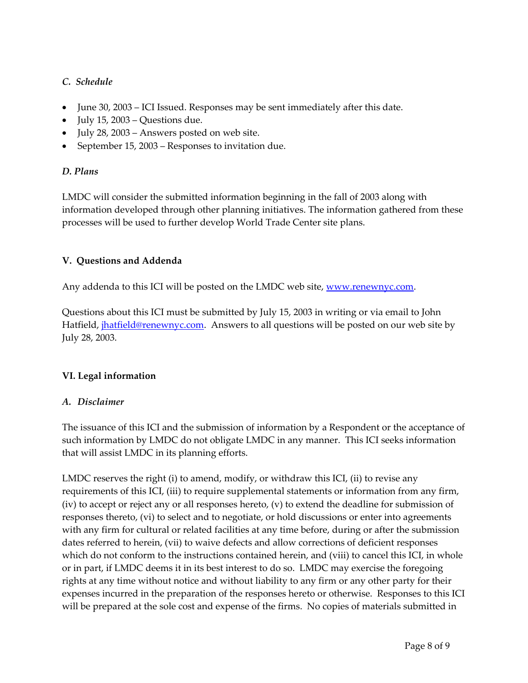# *C. Schedule*

- June 30, 2003 ICI Issued. Responses may be sent immediately after this date.
- July 15, 2003 Questions due.
- July 28, 2003 Answers posted on web site.
- September 15, 2003 Responses to invitation due.

### *D. Plans*

LMDC will consider the submitted information beginning in the fall of 2003 along with information developed through other planning initiatives. The information gathered from these processes will be used to further develop World Trade Center site plans.

### **V.****Questions and Addenda**

Any addenda to this ICI will be posted on the LMDC web site, www.renewnyc.com.

Questions about this ICI must be submitted by July 15, 2003 in writing or via email to John Hatfield, *jhatfield@renewnyc.com*. Answers to all questions will be posted on our web site by July 28, 2003.

# **VI. Legal information**

#### *A. Disclaimer*

The issuance of this ICI and the submission of information by a Respondent or the acceptance of such information by LMDC do not obligate LMDC in any manner. This ICI seeks information that will assist LMDC in its planning efforts.

LMDC reserves the right (i) to amend, modify, or withdraw this ICI, (ii) to revise any requirements of this ICI, (iii) to require supplemental statements or information from any firm, (iv) to accept or reject any or all responses hereto, (v) to extend the deadline for submission of responses thereto, (vi) to select and to negotiate, or hold discussions or enter into agreements with any firm for cultural or related facilities at any time before, during or after the submission dates referred to herein, (vii) to waive defects and allow corrections of deficient responses which do not conform to the instructions contained herein, and (viii) to cancel this ICI, in whole or in part, if LMDC deems it in its best interest to do so. LMDC may exercise the foregoing rights at any time without notice and without liability to any firm or any other party for their expenses incurred in the preparation of the responses hereto or otherwise. Responses to this ICI will be prepared at the sole cost and expense of the firms. No copies of materials submitted in